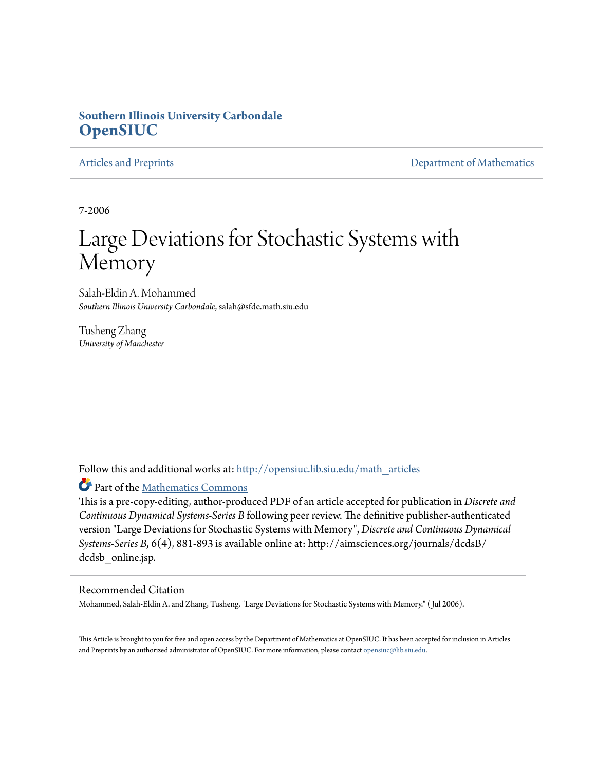## **Southern Illinois University Carbondale [OpenSIUC](http://opensiuc.lib.siu.edu?utm_source=opensiuc.lib.siu.edu%2Fmath_articles%2F59&utm_medium=PDF&utm_campaign=PDFCoverPages)**

[Articles and Preprints](http://opensiuc.lib.siu.edu/math_articles?utm_source=opensiuc.lib.siu.edu%2Fmath_articles%2F59&utm_medium=PDF&utm_campaign=PDFCoverPages) **[Department of Mathematics](http://opensiuc.lib.siu.edu/math?utm_source=opensiuc.lib.siu.edu%2Fmath_articles%2F59&utm_medium=PDF&utm_campaign=PDFCoverPages)** Department of Mathematics

7-2006

# Large Deviations for Stochastic Systems with Memory

Salah-Eldin A. Mohammed *Southern Illinois University Carbondale*, salah@sfde.math.siu.edu

Tusheng Zhang *University of Manchester*

Follow this and additional works at: [http://opensiuc.lib.siu.edu/math\\_articles](http://opensiuc.lib.siu.edu/math_articles?utm_source=opensiuc.lib.siu.edu%2Fmath_articles%2F59&utm_medium=PDF&utm_campaign=PDFCoverPages)

Part of the [Mathematics Commons](http://network.bepress.com/hgg/discipline/174?utm_source=opensiuc.lib.siu.edu%2Fmath_articles%2F59&utm_medium=PDF&utm_campaign=PDFCoverPages)

This is a pre-copy-editing, author-produced PDF of an article accepted for publication in *Discrete and Continuous Dynamical Systems-Series B* following peer review. The definitive publisher-authenticated version "Large Deviations for Stochastic Systems with Memory", *Discrete and Continuous Dynamical Systems-Series B*, 6(4), 881-893 is available online at: http://aimsciences.org/journals/dcdsB/ dcdsb online.jsp.

### Recommended Citation

Mohammed, Salah-Eldin A. and Zhang, Tusheng. "Large Deviations for Stochastic Systems with Memory." ( Jul 2006).

This Article is brought to you for free and open access by the Department of Mathematics at OpenSIUC. It has been accepted for inclusion in Articles and Preprints by an authorized administrator of OpenSIUC. For more information, please contact [opensiuc@lib.siu.edu](mailto:opensiuc@lib.siu.edu).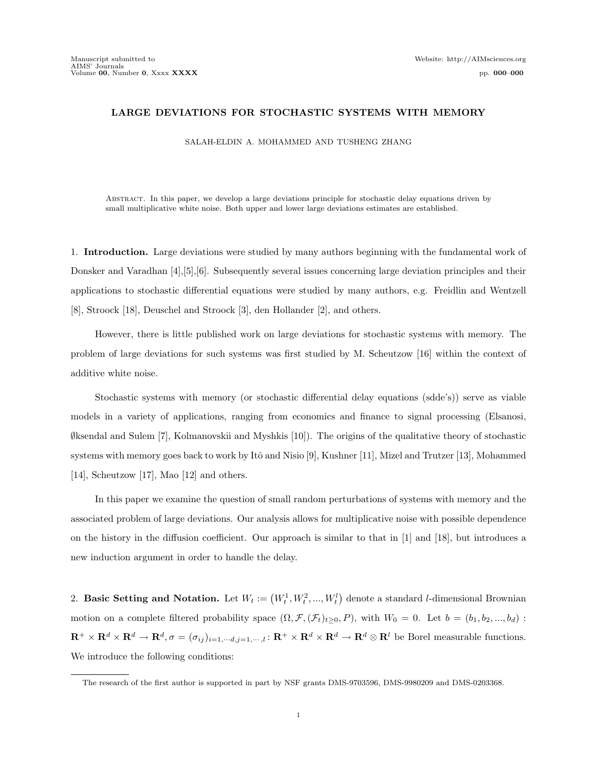#### LARGE DEVIATIONS FOR STOCHASTIC SYSTEMS WITH MEMORY

SALAH-ELDIN A. MOHAMMED AND TUSHENG ZHANG

Abstract. In this paper, we develop a large deviations principle for stochastic delay equations driven by small multiplicative white noise. Both upper and lower large deviations estimates are established.

1. Introduction. Large deviations were studied by many authors beginning with the fundamental work of Donsker and Varadhan [4],[5],[6]. Subsequently several issues concerning large deviation principles and their applications to stochastic differential equations were studied by many authors, e.g. Freidlin and Wentzell [8], Stroock [18], Deuschel and Stroock [3], den Hollander [2], and others.

However, there is little published work on large deviations for stochastic systems with memory. The problem of large deviations for such systems was first studied by M. Scheutzow [16] within the context of additive white noise.

Stochastic systems with memory (or stochastic differential delay equations (sdde's)) serve as viable models in a variety of applications, ranging from economics and finance to signal processing (Elsanosi, ∅ksendal and Sulem [7], Kolmanovskii and Myshkis [10]). The origins of the qualitative theory of stochastic systems with memory goes back to work by Itô and Nisio [9], Kushner [11], Mizel and Trutzer [13], Mohammed [14], Scheutzow [17], Mao [12] and others.

In this paper we examine the question of small random perturbations of systems with memory and the associated problem of large deviations. Our analysis allows for multiplicative noise with possible dependence on the history in the diffusion coefficient. Our approach is similar to that in [1] and [18], but introduces a new induction argument in order to handle the delay.

2. Basic Setting and Notation. Let  $W_t := (W_t^1, W_t^2, ..., W_t^l)$ ¢ denote a standard l-dimensional Brownian motion on a complete filtered probability space  $(\Omega, \mathcal{F}, (\mathcal{F}_t)_{t\geq 0}, P)$ , with  $W_0 = 0$ . Let  $b = (b_1, b_2, ..., b_d)$ :  $\mathbf{R}^+ \times \mathbf{R}^d \times \mathbf{R}^d \to \mathbf{R}^d, \sigma = (\sigma_{ij})_{i=1,\cdots,d,j=1,\cdots,l} : \mathbf{R}^+ \times \mathbf{R}^d \times \mathbf{R}^d \to \mathbf{R}^d \otimes \mathbf{R}^l$  be Borel measurable functions. We introduce the following conditions:

The research of the first author is supported in part by NSF grants DMS-9703596, DMS-9980209 and DMS-0203368.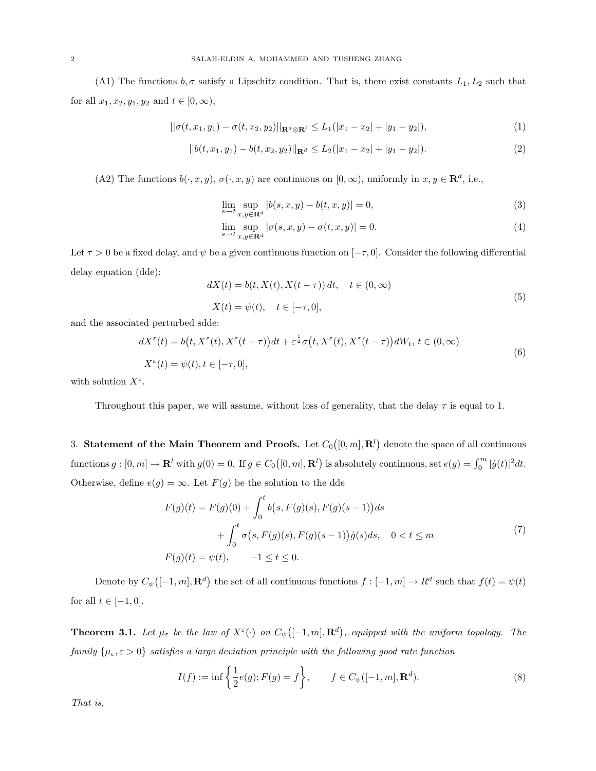(A1) The functions  $b, \sigma$  satisfy a Lipschitz condition. That is, there exist constants  $L_1, L_2$  such that for all  $x_1, x_2, y_1, y_2$  and  $t \in [0, \infty)$ ,

$$
||\sigma(t, x_1, y_1) - \sigma(t, x_2, y_2)||_{\mathbf{R}^d \otimes \mathbf{R}^l} \le L_1(|x_1 - x_2| + |y_1 - y_2|),
$$
\n(1)

$$
||b(t, x_1, y_1) - b(t, x_2, y_2)||_{\mathbf{R}^d} \le L_2(|x_1 - x_2| + |y_1 - y_2|). \tag{2}
$$

(A2) The functions  $b(\cdot, x, y), \sigma(\cdot, x, y)$  are continuous on  $[0, \infty)$ , uniformly in  $x, y \in \mathbb{R}^d$ , i.e.,

$$
\lim_{s \to t} \sup_{x, y \in \mathbf{R}^d} |b(s, x, y) - b(t, x, y)| = 0,
$$
\n(3)

$$
\lim_{s \to t} \sup_{x, y \in \mathbf{R}^d} |\sigma(s, x, y) - \sigma(t, x, y)| = 0.
$$
\n(4)

Let  $\tau > 0$  be a fixed delay, and  $\psi$  be a given continuous function on  $[-\tau, 0]$ . Consider the following differential delay equation (dde):

$$
dX(t) = b(t, X(t), X(t-\tau)) dt, \quad t \in (0, \infty)
$$
  

$$
X(t) = \psi(t), \quad t \in [-\tau, 0],
$$
 (5)

and the associated perturbed sdde:

$$
dX^{\varepsilon}(t) = b(t, X^{\varepsilon}(t), X^{\varepsilon}(t-\tau))dt + \varepsilon^{\frac{1}{2}}\sigma(t, X^{\varepsilon}(t), X^{\varepsilon}(t-\tau))dW_{t}, t \in (0, \infty)
$$
  

$$
X^{\varepsilon}(t) = \psi(t), t \in [-\tau, 0],
$$
 (6)

with solution  $X^{\varepsilon}$ .

Throughout this paper, we will assume, without loss of generality, that the delay  $\tau$  is equal to 1.

3. Statement of the Main Theorem and Proofs. Let  $C_0$  $([0, m], \mathbf{R}^l)$ denote the space of all continuous functions  $g: [0, m] \to \mathbf{R}^l$  with  $g(0) = 0$ . If  $g \in C_0([0, m], \mathbf{R}^l)$  is absolutely continuous, set  $e(g) = \int_0^m |\dot{g}(t)|^2 dt$ . Otherwise, define  $e(g) = \infty$ . Let  $F(g)$  be the solution to the dde

$$
F(g)(t) = F(g)(0) + \int_0^t b(s, F(g)(s), F(g)(s-1))ds
$$
  
+ 
$$
\int_0^t \sigma(s, F(g)(s), F(g)(s-1))\dot{g}(s)ds, \quad 0 < t \le m
$$
  

$$
F(g)(t) = \psi(t), \qquad -1 \le t \le 0.
$$
 (7)

Denote by  $C_{\psi}$  $([-1, m], \mathbf{R}^d)$  the set of all continuous functions  $f : [-1, m] \to R^d$  such that  $f(t) = \psi(t)$ for all  $t \in [-1, 0]$ .

**Theorem 3.1.** Let  $\mu_{\varepsilon}$  be the law of  $X^{\varepsilon}(\cdot)$  on  $C_{\psi}$  $([-1, m], \mathbf{R}^d)$ , equipped with the uniform topology. The family  $\{\mu_{\varepsilon}, \varepsilon > 0\}$  satisfies a large deviation principle with the following good rate function

$$
I(f) := \inf \left\{ \frac{1}{2} e(g); F(g) = f \right\}, \qquad f \in C_{\psi}([-1, m], \mathbf{R}^{d}).
$$
 (8)

That is,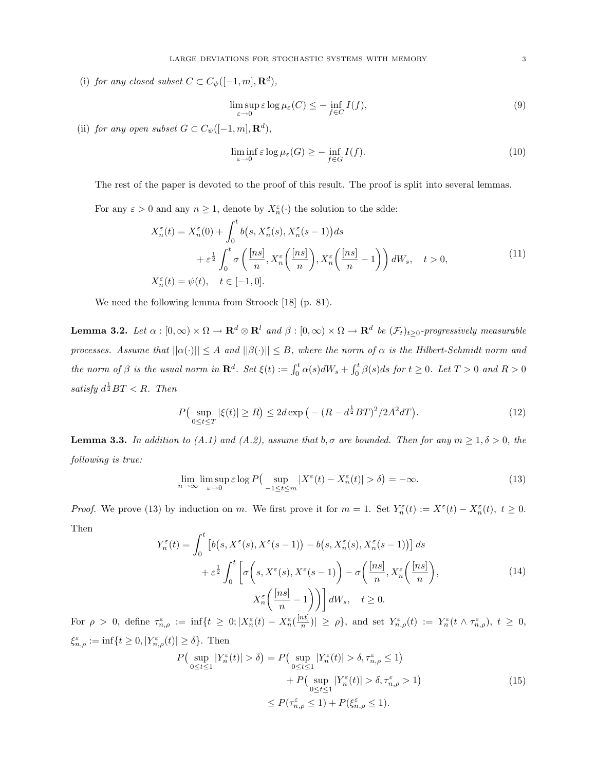(i) for any closed subset  $C \subset C_{\psi}([-1,m], \mathbf{R}^d)$ ,

$$
\limsup_{\varepsilon \to 0} \varepsilon \log \mu_{\varepsilon}(C) \le - \inf_{f \in C} I(f),\tag{9}
$$

(ii) for any open subset  $G \subset C_{\psi}([-1,m], \mathbf{R}^d)$ ,

$$
\liminf_{\varepsilon \to 0} \varepsilon \log \mu_{\varepsilon}(G) \ge - \inf_{f \in G} I(f). \tag{10}
$$

The rest of the paper is devoted to the proof of this result. The proof is split into several lemmas.

For any  $\varepsilon > 0$  and any  $n \geq 1$ , denote by  $X_n^{\varepsilon}(\cdot)$  the solution to the sdde:

$$
X_n^{\varepsilon}(t) = X_n^{\varepsilon}(0) + \int_0^t b(s, X_n^{\varepsilon}(s), X_n^{\varepsilon}(s-1))ds
$$
  
+  $\varepsilon^{\frac{1}{2}} \int_0^t \sigma\left(\frac{[ns]}{n}, X_n^{\varepsilon}\left(\frac{[ns]}{n}\right), X_n^{\varepsilon}\left(\frac{[ns]}{n}-1\right)\right) dW_s, \quad t > 0,$   

$$
X_n^{\varepsilon}(t) = \psi(t), \quad t \in [-1, 0].
$$
 (11)

We need the following lemma from Stroock [18] (p. 81).

**Lemma 3.2.** Let  $\alpha : [0, \infty) \times \Omega \to \mathbf{R}^d \otimes \mathbf{R}^l$  and  $\beta : [0, \infty) \times \Omega \to \mathbf{R}^d$  be  $(\mathcal{F}_t)_{t \geq 0}$ -progressively measurable processes. Assume that  $||\alpha(\cdot)|| \leq A$  and  $||\beta(\cdot)|| \leq B$ , where the norm of  $\alpha$  is the Hilbert-Schmidt norm and the norm of  $\beta$  is the usual norm in  $\mathbf{R}^d$ . Set  $\xi(t) := \int_0^t \alpha(s) dW_s + \int_0^t$  $\int_0^t \beta(s)ds$  for  $t \geq 0$ . Let  $T > 0$  and  $R > 0$ satisfy  $d^{\frac{1}{2}}BT < R$ . Then

$$
P\left(\sup_{0\leq t\leq T} |\xi(t)| \geq R\right) \leq 2d \exp\left(-\left(R - d^{\frac{1}{2}} B T\right)^2 / 2A^2 dT\right). \tag{12}
$$

**Lemma 3.3.** In addition to (A.1) and (A.2), assume that b,  $\sigma$  are bounded. Then for any  $m \geq 1, \delta > 0$ , the following is true:

$$
\lim_{n \to \infty} \limsup_{\varepsilon \to 0} \varepsilon \log P\left(\sup_{-1 \le t \le m} |X^{\varepsilon}(t) - X_n^{\varepsilon}(t)| > \delta\right) = -\infty. \tag{13}
$$

*Proof.* We prove (13) by induction on m. We first prove it for  $m = 1$ . Set  $Y_n^{\varepsilon}(t) := X^{\varepsilon}(t) - X_n^{\varepsilon}(t)$ ,  $t \ge 0$ . Then

$$
Y_n^{\varepsilon}(t) = \int_0^t \left[ b(s, X^{\varepsilon}(s), X^{\varepsilon}(s-1)) - b(s, X_n^{\varepsilon}(s), X_n^{\varepsilon}(s-1)) \right] ds
$$
  
+  $\varepsilon^{\frac{1}{2}} \int_0^t \left[ \sigma \left( s, X^{\varepsilon}(s), X^{\varepsilon}(s-1) \right) - \sigma \left( \frac{[ns]}{n}, X_n^{\varepsilon} \left( \frac{[ns]}{n} \right) \right), \right.$   

$$
X_n^{\varepsilon} \left( \frac{[ns]}{n} - 1 \right) \right] dW_s, \quad t \ge 0.
$$
 (14)

For  $\rho > 0$ , define  $\tau_{n,\rho}^{\varepsilon} := \inf\{t \geq 0; |X_n^{\varepsilon}(t) - X_n^{\varepsilon}(\frac{\lfloor nt \rfloor}{n})\}$  $\frac{n!}{n}$ ) |  $\geq \rho$ , and set  $Y_{n,\rho}^{\varepsilon}(t) := Y_n^{\varepsilon}(t \wedge \tau_{n,\rho}^{\varepsilon}), t \geq 0$ ,  $\xi_{n,\rho}^{\varepsilon} := \inf\{t \geq 0, |Y_{n,\rho}^{\varepsilon}(t)| \geq \delta\}.$  Then P ¡  $\sup_{0 \leq t \leq 1} |Y_n^{\varepsilon}(t)| > \delta$  = P ¡  $\sup_{0 \leq t \leq 1} |Y_n^{\varepsilon}(t)| > \delta, \tau_{n,\rho}^{\varepsilon} \leq 1$ ¢

$$
\log t \leq 1 \quad n \quad \text{(15)}
$$
\n
$$
+ P\left(\sup_{0 \leq t \leq 1} |Y_n^{\varepsilon}(t)| > \delta, \tau_{n,\rho}^{\varepsilon} > 1\right)
$$
\n
$$
\leq P(\tau_{n,\rho}^{\varepsilon} \leq 1) + P(\xi_{n,\rho}^{\varepsilon} \leq 1).
$$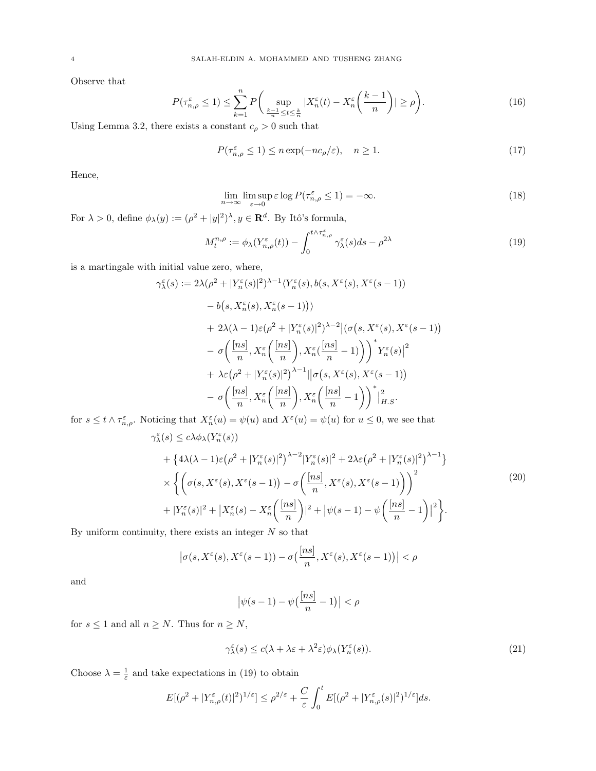Observe that

$$
P(\tau_{n,\rho}^{\varepsilon} \le 1) \le \sum_{k=1}^{n} P\bigg(\sup_{\frac{k-1}{n}\le t\le \frac{k}{n}} |X_n^{\varepsilon}(t) - X_n^{\varepsilon}\bigg(\frac{k-1}{n}\bigg)| \ge \rho\bigg). \tag{16}
$$

Using Lemma 3.2, there exists a constant  $c_\rho>0$  such that

$$
P(\tau_{n,\rho}^{\varepsilon} \le 1) \le n \exp(-nc_{\rho}/\varepsilon), \quad n \ge 1. \tag{17}
$$

Hence,

$$
\lim_{n \to \infty} \limsup_{\varepsilon \to 0} \varepsilon \log P(\tau_{n,\rho}^{\varepsilon} \le 1) = -\infty.
$$
\n(18)

For  $\lambda > 0$ , define  $\phi_{\lambda}(y) := (\rho^2 + |y|^2)^{\lambda}, y \in \mathbb{R}^d$ . By Itô's formula,

$$
M_t^{n,\rho} := \phi_\lambda(Y_{n,\rho}^{\varepsilon}(t)) - \int_0^{t \wedge \tau_{n,\rho}^{\varepsilon}} \gamma_{\lambda}^{\varepsilon}(s) ds - \rho^{2\lambda}
$$
 (19)

is a martingale with initial value zero, where,

$$
\gamma_{\lambda}^{\varepsilon}(s) := 2\lambda(\rho^{2} + |Y_{n}^{\varepsilon}(s)|^{2})^{\lambda - 1} \langle Y_{n}^{\varepsilon}(s), b(s, X^{\varepsilon}(s), X^{\varepsilon}(s - 1))
$$

$$
- b(s, X_{n}^{\varepsilon}(s), X_{n}^{\varepsilon}(s - 1)) \rangle
$$

$$
+ 2\lambda(\lambda - 1)\varepsilon(\rho^{2} + |Y_{n}^{\varepsilon}(s)|^{2})^{\lambda - 2} |(\sigma(s, X^{\varepsilon}(s), X^{\varepsilon}(s - 1))
$$

$$
- \sigma\left(\frac{[ns]}{n}, X_{n}^{\varepsilon}\left(\frac{[ns]}{n}\right), X_{n}^{\varepsilon}\left(\frac{[ns]}{n} - 1\right)\right)^{*} Y_{n}^{\varepsilon}(s)|^{2}
$$

$$
+ \lambda\varepsilon(\rho^{2} + |Y_{n}^{\varepsilon}(s)|^{2})^{\lambda - 1} |[\sigma(s, X^{\varepsilon}(s), X^{\varepsilon}(s - 1))
$$

$$
- \sigma\left(\frac{[ns]}{n}, X_{n}^{\varepsilon}\left(\frac{[ns]}{n}\right), X_{n}^{\varepsilon}\left(\frac{[ns]}{n} - 1\right)\right)^{*}|_{H.S}^{2}.
$$

for  $s \leq t \wedge \tau_{n,\rho}^{\varepsilon}$ . Noticing that  $X_n^{\varepsilon}(u) = \psi(u)$  and  $X^{\varepsilon}(u) = \psi(u)$  for  $u \leq 0$ , we see that

$$
\gamma_{\lambda}^{\varepsilon}(s) \leq c\lambda \phi_{\lambda}(Y_{n}^{\varepsilon}(s)) \n+ \left\{ 4\lambda(\lambda - 1)\varepsilon\left(\rho^{2} + |Y_{n}^{\varepsilon}(s)|^{2}\right)^{\lambda - 2}|Y_{n}^{\varepsilon}(s)|^{2} + 2\lambda\varepsilon\left(\rho^{2} + |Y_{n}^{\varepsilon}(s)|^{2}\right)^{\lambda - 1}\right\} \n\times \left\{ \left(\sigma(s, X^{\varepsilon}(s), X^{\varepsilon}(s - 1)) - \sigma\left(\frac{[ns]}{n}, X^{\varepsilon}(s), X^{\varepsilon}(s - 1)\right)\right)^{2} + |Y_{n}^{\varepsilon}(s)|^{2} + |X_{n}^{\varepsilon}(s) - X_{n}^{\varepsilon}\left(\frac{[ns]}{n}\right)|^{2} + |\psi(s - 1) - \psi\left(\frac{[ns]}{n} - 1\right)|^{2} \right\}.
$$
\n(20)

By uniform continuity, there exists an integer  $N$  so that

$$
\left|\sigma(s,X^{\varepsilon}(s),X^{\varepsilon}(s-1))-\sigma\left(\frac{[ns]}{n},X^{\varepsilon}(s),X^{\varepsilon}(s-1)\right)\right|<\rho
$$

and

$$
\big|\psi(s-1)-\psi\big(\frac{[ns]}{n}-1\big)\big|<\rho
$$

for  $s \leq 1$  and all  $n \geq N$ . Thus for  $n \geq N$ ,

$$
\gamma_{\lambda}^{\varepsilon}(s) \le c(\lambda + \lambda \varepsilon + \lambda^{2} \varepsilon) \phi_{\lambda}(Y_{n}^{\varepsilon}(s)). \tag{21}
$$

Choose  $\lambda = \frac{1}{\varepsilon}$  and take expectations in (19) to obtain

$$
E[(\rho^2+|Y^{\varepsilon}_{n,\rho}(t)|^2)^{1/\varepsilon}] \leq \rho^{2/\varepsilon}+\frac{C}{\varepsilon}\int_0^t E[(\rho^2+|Y^{\varepsilon}_{n,\rho}(s)|^2)^{1/\varepsilon}]ds.
$$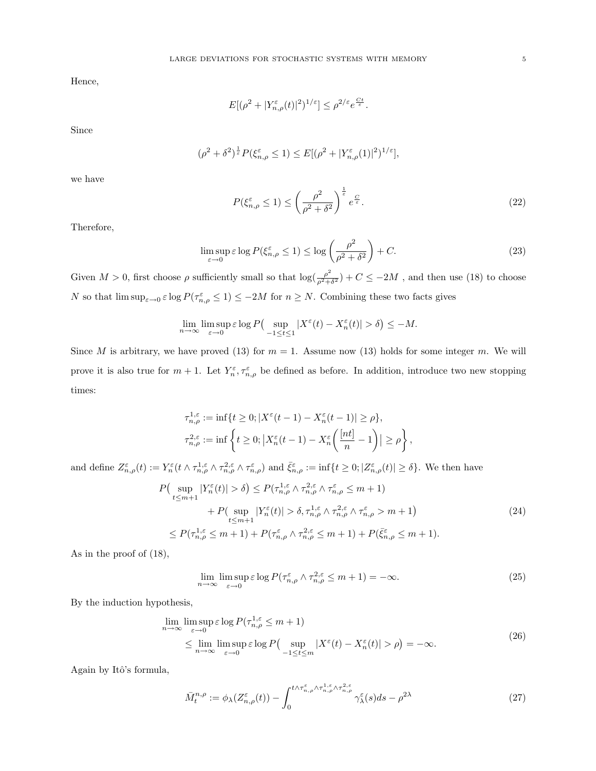Hence,

$$
E[(\rho^2 + |Y_{n,\rho}^{\varepsilon}(t)|^2)^{1/\varepsilon}] \leq \rho^{2/\varepsilon} e^{\frac{Ct}{\varepsilon}}.
$$

Since

$$
(\rho^2+\delta^2)^{\frac{1}{\varepsilon}}P(\xi_{n,\rho}^{\varepsilon}\leq 1)\leq E[(\rho^2+|Y_{n,\rho}^{\varepsilon}(1)|^2)^{1/\varepsilon}],
$$

we have

$$
P(\xi_{n,\rho}^{\varepsilon} \le 1) \le \left(\frac{\rho^2}{\rho^2 + \delta^2}\right)^{\frac{1}{\varepsilon}} e^{\frac{C}{\varepsilon}}.
$$
\n(22)

Therefore,

$$
\limsup_{\varepsilon \to 0} \varepsilon \log P(\xi_{n,\rho}^{\varepsilon} \le 1) \le \log \left(\frac{\rho^2}{\rho^2 + \delta^2}\right) + C. \tag{23}
$$

Given  $M > 0$ , first choose  $\rho$  sufficiently small so that  $\log(\frac{\rho^2}{\sigma^2 + \rho^2})$  $\frac{\rho^2}{\rho^2+\delta^2}$  +  $C \le -2M$ , and then use (18) to choose N so that  $\limsup_{\varepsilon\to 0} \varepsilon \log P(\tau_{n,\rho}^{\varepsilon} \leq 1) \leq -2M$  for  $n \geq N$ . Combining these two facts gives

$$
\lim_{n \to \infty} \limsup_{\varepsilon \to 0} \varepsilon \log P\left(\sup_{-1 \le t \le 1} |X^{\varepsilon}(t) - X_n^{\varepsilon}(t)| > \delta\right) \le -M.
$$

Since M is arbitrary, we have proved (13) for  $m = 1$ . Assume now (13) holds for some integer m. We will prove it is also true for  $m+1$ . Let  $Y_n^{\varepsilon}, \tau_{n,\rho}^{\varepsilon}$  be defined as before. In addition, introduce two new stopping times:

$$
\tau_{n,\rho}^{1,\varepsilon} := \inf \{ t \ge 0; |X^{\varepsilon}(t-1) - X_n^{\varepsilon}(t-1)| \ge \rho \},\
$$
  

$$
\tau_{n,\rho}^{2,\varepsilon} := \inf \left\{ t \ge 0; |X_n^{\varepsilon}(t-1) - X_n^{\varepsilon}\left(\frac{[nt]}{n} - 1\right)| \ge \rho \right\},\
$$

and define  $Z^{\varepsilon}_{n,\rho}(t) := Y^{\varepsilon}_n(t) \wedge \tau^{1,\varepsilon}_{n,\rho} \wedge \tau^{2,\varepsilon}_{n,\rho} \wedge \tau^{\varepsilon}_{n,\rho}$  and  $\bar{\xi}^{\varepsilon}_{n,\rho} := \inf\{t \geq 0; |Z^{\varepsilon}_{n,\rho}(t)| \geq \delta\}.$  We then have

$$
P\left(\sup_{t\leq m+1} |Y_n^{\varepsilon}(t)| > \delta\right) \leq P(\tau_{n,\rho}^{1,\varepsilon} \wedge \tau_{n,\rho}^{2,\varepsilon} \wedge \tau_{n,\rho}^{\varepsilon} \leq m+1) + P(\sup_{t\leq m+1} |Y_n^{\varepsilon}(t)| > \delta, \tau_{n,\rho}^{1,\varepsilon} \wedge \tau_{n,\rho}^{2,\varepsilon} \wedge \tau_{n,\rho}^{\varepsilon} > m+1) \leq P(\tau_{n,\rho}^{1,\varepsilon} \leq m+1) + P(\tau_{n,\rho}^{\varepsilon} \wedge \tau_{n,\rho}^{2,\varepsilon} \leq m+1) + P(\bar{\xi}_{n,\rho}^{\varepsilon} \leq m+1).
$$
\n(24)

As in the proof of (18),

$$
\lim_{n \to \infty} \limsup_{\varepsilon \to 0} \varepsilon \log P(\tau_{n,\rho}^{\varepsilon} \wedge \tau_{n,\rho}^{2,\varepsilon} \le m+1) = -\infty. \tag{25}
$$

By the induction hypothesis,

$$
\lim_{n \to \infty} \limsup_{\varepsilon \to 0} \varepsilon \log P(\tau_{n,\rho}^{1,\varepsilon} \le m+1)
$$
\n
$$
\le \lim_{n \to \infty} \limsup_{\varepsilon \to 0} \varepsilon \log P(\sup_{-1 \le t \le m} |X^{\varepsilon}(t) - X^{\varepsilon}_n(t)| > \rho) = -\infty. \tag{26}
$$

Again by Itô's formula,

$$
\bar{M}^{n,\rho}_t := \phi_\lambda(Z^\varepsilon_{n,\rho}(t)) - \int_0^{t \wedge \tau^\varepsilon_{n,\rho} \wedge \tau^{1,\varepsilon}_{n,\rho} \wedge \tau^{2,\varepsilon}_{n,\rho}} \gamma^\varepsilon_\lambda(s) ds - \rho^{2\lambda} \tag{27}
$$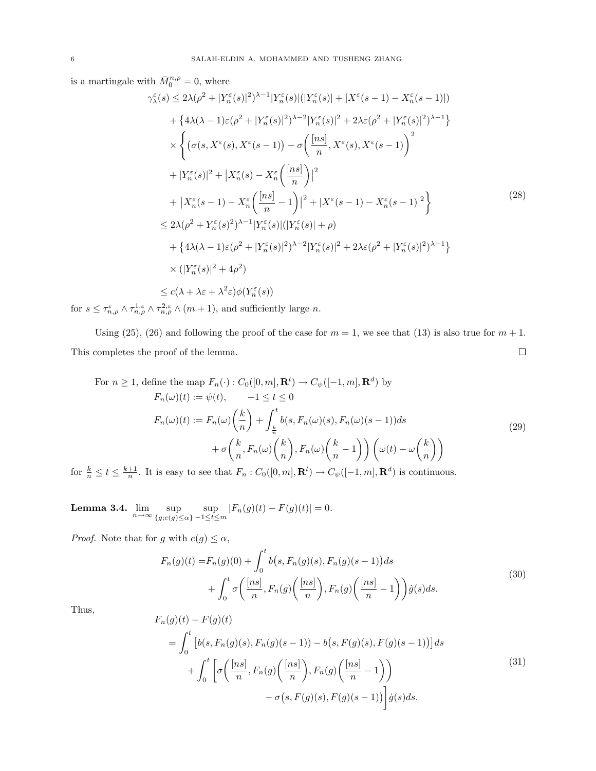is a martingale with  $\bar{M}_0^{n,\rho} = 0$ , where

$$
\gamma_{\lambda}^{\varepsilon}(s) \leq 2\lambda(\rho^{2} + |Y_{n}^{\varepsilon}(s)|^{2})^{\lambda-1}|Y_{n}^{\varepsilon}(s)|(|Y_{n}^{\varepsilon}(s)| + |X^{\varepsilon}(s-1) - X_{n}^{\varepsilon}(s-1)|)
$$
  
+ 
$$
\{4\lambda(\lambda - 1)\varepsilon(\rho^{2} + |Y_{n}^{\varepsilon}(s)|^{2})^{\lambda-2}|Y_{n}^{\varepsilon}(s)|^{2} + 2\lambda\varepsilon(\rho^{2} + |Y_{n}^{\varepsilon}(s)|^{2})^{\lambda-1}\}
$$
  

$$
\times \left\{ (\sigma(s, X^{\varepsilon}(s), X^{\varepsilon}(s-1)) - \sigma\left(\frac{[ns]}{n}, X^{\varepsilon}(s), X^{\varepsilon}(s-1)\right)^{2} + |Y_{n}^{\varepsilon}(s)|^{2} + |X_{n}^{\varepsilon}(s) - X_{n}^{\varepsilon}\left(\frac{[ns]}{n}\right)|^{2} + |X^{\varepsilon}(s-1) - X_{n}^{\varepsilon}(s-1)|^{2} \right\}
$$
  
+ 
$$
|X_{n}^{\varepsilon}(s-1) - X_{n}^{\varepsilon}\left(\frac{[ns]}{n} - 1\right)|^{2} + |X^{\varepsilon}(s-1) - X_{n}^{\varepsilon}(s-1)|^{2} \right\}
$$
  

$$
\leq 2\lambda(\rho^{2} + Y_{n}^{\varepsilon}(s))^{2}\lambda^{-1}|Y_{n}^{\varepsilon}(s)|(|Y_{n}^{\varepsilon}(s)| + \rho)
$$
  
+ 
$$
\{4\lambda(\lambda - 1)\varepsilon(\rho^{2} + |Y_{n}^{\varepsilon}(s)|^{2})^{\lambda-2}|Y_{n}^{\varepsilon}(s)|^{2} + 2\lambda\varepsilon(\rho^{2} + |Y_{n}^{\varepsilon}(s)|^{2})^{\lambda-1} \}
$$
  

$$
\times (|Y_{n}^{\varepsilon}(s)|^{2} + 4\rho^{2})
$$
  

$$
\leq c(\lambda + \lambda\varepsilon + \lambda^{2}\varepsilon)\phi(Y_{n}^{\varepsilon}(s))
$$
 (11)

for  $s \leq \tau_{n,\rho}^{\varepsilon} \wedge \tau_{n,\rho}^{1,\varepsilon} \wedge \tau_{n,\rho}^{2,\varepsilon} \wedge (m+1)$ , and sufficiently large n.

Using (25), (26) and following the proof of the case for  $m = 1$ , we see that (13) is also true for  $m + 1$ . This completes the proof of the lemma.  $\Box$ 

For 
$$
n \ge 1
$$
, define the map  $F_n(\cdot) : C_0([0, m], \mathbf{R}^l) \to C_{\psi}([-1, m], \mathbf{R}^d)$  by  
\n
$$
F_n(\omega)(t) := \psi(t), \qquad -1 \le t \le 0
$$
\n
$$
F_n(\omega)(t) := F_n(\omega) \left(\frac{k}{n}\right) + \int_{\frac{k}{n}}^t b(s, F_n(\omega)(s), F_n(\omega)(s-1)) ds
$$
\n
$$
+ \sigma\left(\frac{k}{n}, F_n(\omega)\left(\frac{k}{n}\right), F_n(\omega)\left(\frac{k}{n} - 1\right)\right) \left(\omega(t) - \omega\left(\frac{k}{n}\right)\right)
$$
\n(29)

for  $\frac{k}{n} \leq t \leq \frac{k+1}{n}$ . It is easy to see that  $F_n : C_0([0, m], \mathbf{R}^l) \to C_{\psi}([-1, m], \mathbf{R}^d)$  is continuous.

**Lemma 3.4.**  $\lim_{n\to\infty} \sup_{\{g: e(a)\leq n\}}$  ${g;e(g)\leq\alpha}$  $\sup_{-1 \le t \le m} |F_n(g)(t) - F(g)(t)| = 0.$ 

*Proof.* Note that for g with  $e(g) \leq \alpha$ ,

$$
F_n(g)(t) = F_n(g)(0) + \int_0^t b(s, F_n(g)(s), F_n(g)(s-1))ds
$$
  
+ 
$$
\int_0^t \sigma\left(\frac{[ns]}{n}, F_n(g)\left(\frac{[ns]}{n}\right), F_n(g)\left(\frac{[ns]}{n}-1\right)\right) \dot{g}(s)ds.
$$
 (30)

Thus,

$$
F_n(g)(t) - F(g)(t)
$$
  
= 
$$
\int_0^t \left[ b(s, F_n(g)(s), F_n(g)(s-1)) - b(s, F(g)(s), F(g)(s-1)) \right] ds
$$
  
+ 
$$
\int_0^t \left[ \sigma\left(\frac{[ns]}{n}, F_n(g)\left(\frac{[ns]}{n}\right), F_n(g)\left(\frac{[ns]}{n}-1\right) \right) - \sigma(s, F(g)(s), F(g)(s-1)) \right] \dot{g}(s) ds.
$$
 (31)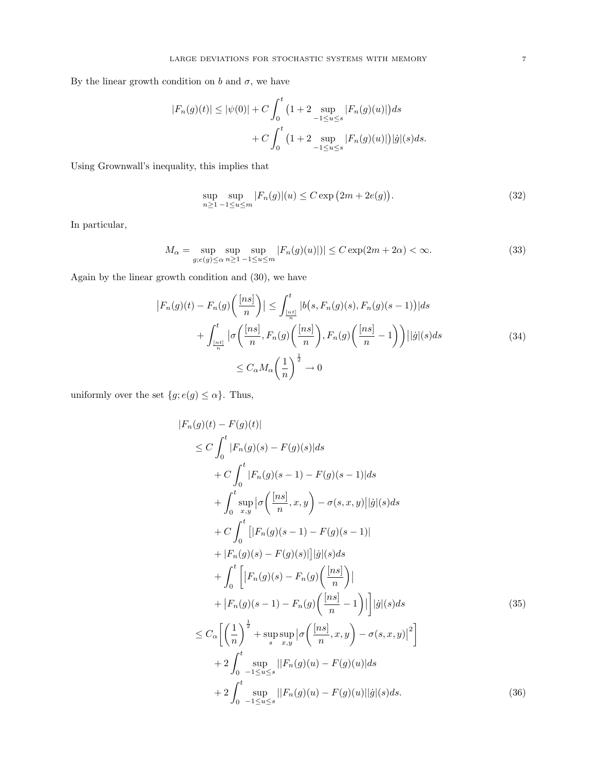By the linear growth condition on b and  $\sigma$ , we have

$$
|F_n(g)(t)| \le |\psi(0)| + C \int_0^t \left(1 + 2 \sup_{-1 \le u \le s} |F_n(g)(u)|\right) ds
$$
  
+ 
$$
C \int_0^t \left(1 + 2 \sup_{-1 \le u \le s} |F_n(g)(u)|\right) |\dot{g}|(s) ds.
$$

Using Grownwall's inequality, this implies that

$$
\sup_{n\geq 1} \sup_{-1 \leq u \leq m} |F_n(g)|(u) \leq C \exp(2m + 2e(g)).
$$
\n(32)

In particular,

$$
M_{\alpha} = \sup_{g; e(g) \le \alpha} \sup_{n \ge 1} \sup_{-1 \le u \le m} |F_n(g)(u)| \le C \exp(2m + 2\alpha) < \infty. \tag{33}
$$

Again by the linear growth condition and (30), we have

$$
\left|F_n(g)(t) - F_n(g)\left(\frac{[ns]}{n}\right)\right| \le \int_{\frac{[ns]}{n}}^t |b(s, F_n(g)(s), F_n(g)(s-1))|ds
$$
  
+ 
$$
\int_{\frac{[ns]}{n}}^t |\sigma\left(\frac{[ns]}{n}, F_n(g)\left(\frac{[ns]}{n}\right), F_n(g)\left(\frac{[ns]}{n}-1\right)\right)||g|(s)ds
$$
  

$$
\le C_\alpha M_\alpha \left(\frac{1}{n}\right)^{\frac{1}{2}} \to 0
$$
 (34)

uniformly over the set  $\{g; e(g) \leq \alpha\}$ . Thus,

$$
|F_n(g)(t) - F(g)(t)|
$$
  
\n
$$
\leq C \int_0^t |F_n(g)(s) - F(g)(s)| ds
$$
  
\n
$$
+ C \int_0^t |F_n(g)(s-1) - F(g)(s-1)| ds
$$
  
\n
$$
+ \int_0^t \sup_{x,y} |\sigma(\frac{[ns]}{n}, x, y) - \sigma(s, x, y)| |g|(s) ds
$$
  
\n
$$
+ C \int_0^t [|F_n(g)(s-1) - F(g)(s-1)|
$$
  
\n
$$
+ |F_n(g)(s) - F(g)(s)|] |g|(s) ds
$$
  
\n
$$
+ \int_0^t [|F_n(g)(s) - F_n(g)(\frac{[ns]}{n})|
$$
  
\n
$$
+ |F_n(g)(s-1) - F_n(g)(\frac{[ns]}{n} - 1)|] |g|(s) ds
$$
  
\n
$$
\leq C_\alpha \left[ \left(\frac{1}{n}\right)^{\frac{1}{2}} + \sup_{s} \sup_{x,y} |\sigma(\frac{[ns]}{n}, x, y) - \sigma(s, x, y)|^2 \right]
$$
  
\n
$$
+ 2 \int_0^t \sup_{-1 \leq u \leq s} ||F_n(g)(u) - F(g)(u)||g|(s) ds.
$$
 (36)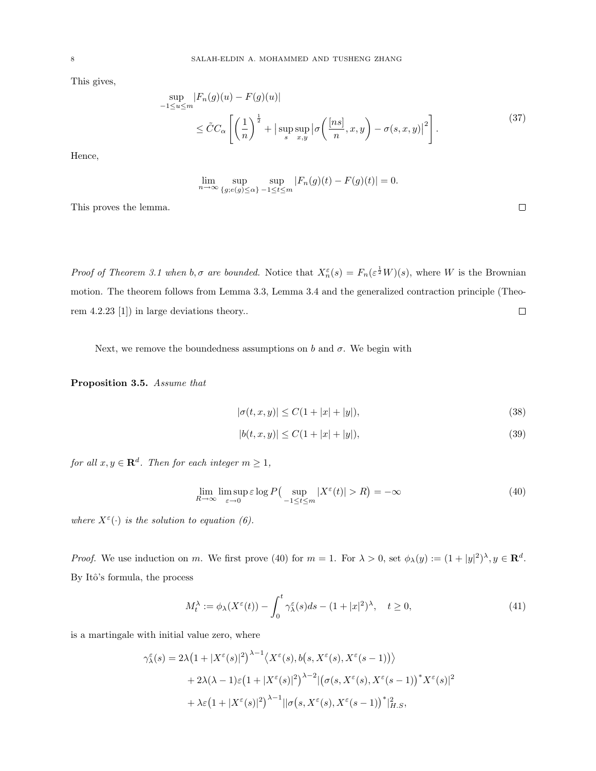This gives,

$$
\sup_{-1 \le u \le m} |F_n(g)(u) - F(g)(u)|
$$
  
 
$$
\le \tilde{C}C_{\alpha} \left[ \left( \frac{1}{n} \right)^{\frac{1}{2}} + |\sup_{s} \sup_{x,y} |\sigma \left( \frac{[ns]}{n}, x, y \right) - \sigma(s, x, y)|^2 \right].
$$
 (37)

Hence,

$$
\lim_{n \to \infty} \sup_{\{g; e(g) \le \alpha\}} \sup_{-1 \le t \le m} |F_n(g)(t) - F(g)(t)| = 0.
$$

This proves the lemma.

Proof of Theorem 3.1 when  $b, \sigma$  are bounded. Notice that  $X_n^{\varepsilon}(s) = F_n(\varepsilon^{\frac{1}{2}}W)(s)$ , where W is the Brownian motion. The theorem follows from Lemma 3.3, Lemma 3.4 and the generalized contraction principle (Theorem 4.2.23 [1]) in large deviations theory..  $\Box$ 

Next, we remove the boundedness assumptions on b and  $\sigma$ . We begin with

Proposition 3.5. Assume that

$$
|\sigma(t, x, y)| \le C(1 + |x| + |y|),\tag{38}
$$

$$
|b(t, x, y)| \le C(1 + |x| + |y|),\tag{39}
$$

for all  $x, y \in \mathbf{R}^d$ . Then for each integer  $m \geq 1$ ,

$$
\lim_{R \to \infty} \limsup_{\varepsilon \to 0} \varepsilon \log P\left(\sup_{-1 \le t \le m} |X^{\varepsilon}(t)| > R\right) = -\infty
$$
\n(40)

where  $X^{\varepsilon}(\cdot)$  is the solution to equation (6).

*Proof.* We use induction on m. We first prove (40) for  $m = 1$ . For  $\lambda > 0$ , set  $\phi_{\lambda}(y) := (1 + |y|^2)^{\lambda}, y \in \mathbb{R}^d$ . By Itô's formula, the process

$$
M_t^{\lambda} := \phi_{\lambda}(X^{\varepsilon}(t)) - \int_0^t \gamma_{\lambda}^{\varepsilon}(s)ds - (1+|x|^2)^{\lambda}, \quad t \ge 0,
$$
\n(41)

is a martingale with initial value zero, where

$$
\gamma_{\lambda}^{\varepsilon}(s) = 2\lambda \left(1 + |X^{\varepsilon}(s)|^{2}\right)^{\lambda - 1} \langle X^{\varepsilon}(s), b(s, X^{\varepsilon}(s), X^{\varepsilon}(s - 1)) \rangle + 2\lambda (\lambda - 1)\varepsilon \left(1 + |X^{\varepsilon}(s)|^{2}\right)^{\lambda - 2} \left| \left(\sigma(s, X^{\varepsilon}(s), X^{\varepsilon}(s - 1))\right)^{*} X^{\varepsilon}(s)\right|^{2} + \lambda \varepsilon \left(1 + |X^{\varepsilon}(s)|^{2}\right)^{\lambda - 1} \left| \left|\sigma(s, X^{\varepsilon}(s), X^{\varepsilon}(s - 1))\right|^{*} \right|_{H.S}^{2},
$$

 $\Box$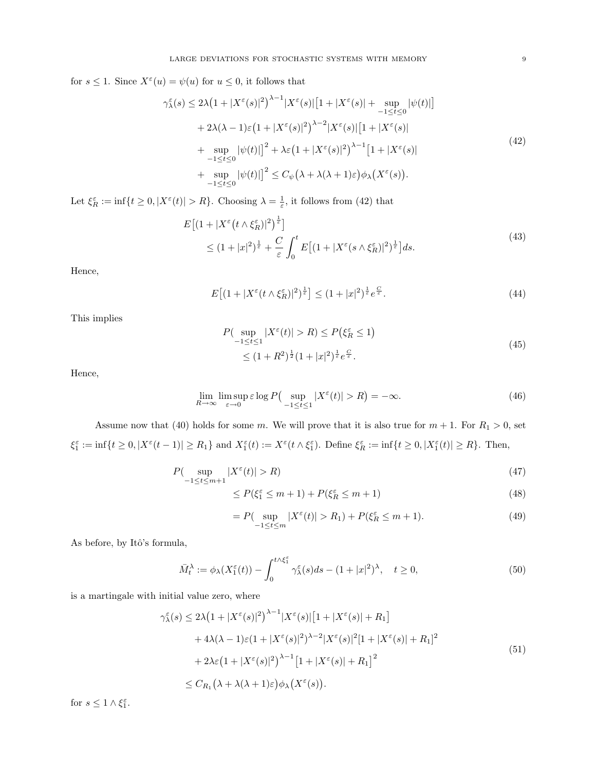for  $s \leq 1$ . Since  $X^{\varepsilon}(u) = \psi(u)$  for  $u \leq 0$ , it follows that

$$
\gamma_{\lambda}^{\varepsilon}(s) \le 2\lambda \left(1+|X^{\varepsilon}(s)|^{2}\right)^{\lambda-1}|X^{\varepsilon}(s)|\left[1+|X^{\varepsilon}(s)|+\sup_{-1\le t\le 0}|\psi(t)|\right] + 2\lambda(\lambda-1)\varepsilon \left(1+|X^{\varepsilon}(s)|^{2}\right)^{\lambda-2}|X^{\varepsilon}(s)|\left[1+|X^{\varepsilon}(s)|\right] + \sup_{-1\le t\le 0}|\psi(t)|\left|^{2}+\lambda\varepsilon\left(1+|X^{\varepsilon}(s)|^{2}\right)^{\lambda-1}\left[1+|X^{\varepsilon}(s)|\right] + \sup_{-1\le t\le 0}|\psi(t)|\left|^{2}\le C_{\psi}(\lambda+\lambda(\lambda+1)\varepsilon)\phi_{\lambda}\left(X^{\varepsilon}(s)\right)\right|.
$$
\n(42)

Let  $\xi_R^{\varepsilon} := \inf\{t \geq 0, |X^{\varepsilon}(t)| > R\}$ . Choosing  $\lambda = \frac{1}{\varepsilon}$ , it follows from (42) that

$$
E\left[(1+|X^{\varepsilon}(t\wedge\xi_R^{\varepsilon})|^2)^{\frac{1}{\varepsilon}}\right] \le (1+|x|^2)^{\frac{1}{\varepsilon}} + \frac{C}{\varepsilon} \int_0^t E\left[(1+|X^{\varepsilon}(s\wedge\xi_R^{\varepsilon})|^2)^{\frac{1}{\varepsilon}}\right]ds.
$$
\n(43)

Hence,

$$
E\left[(1+|X^{\varepsilon}(t\wedge\xi_R^{\varepsilon})|^2)^{\frac{1}{\varepsilon}}\right] \le (1+|x|^2)^{\frac{1}{\varepsilon}}e^{\frac{C}{\varepsilon}}.
$$
\n(44)

This implies

$$
P(\sup_{-1 \le t \le 1} |X^{\varepsilon}(t)| > R) \le P(\xi_R^{\varepsilon} \le 1) \le (1 + R^2)^{\frac{1}{2}} (1 + |x|^2)^{\frac{1}{\varepsilon}} e^{\frac{C}{\varepsilon}}.
$$
\n(45)

Hence,

$$
\lim_{R \to \infty} \limsup_{\varepsilon \to 0} \varepsilon \log P\left(\sup_{-1 \le t \le 1} |X^{\varepsilon}(t)| > R\right) = -\infty. \tag{46}
$$

Assume now that (40) holds for some m. We will prove that it is also true for  $m + 1$ . For  $R_1 > 0$ , set  $\xi_1^{\varepsilon} := \inf\{t \geq 0, |X^{\varepsilon}(t-1)| \geq R_1\}$  and  $X_1^{\varepsilon}(t) := X^{\varepsilon}(t \wedge \xi_1^{\varepsilon})$ . Define  $\xi_R^{\varepsilon} := \inf\{t \geq 0, |X_1^{\varepsilon}(t)| \geq R\}$ . Then,

$$
P(\sup_{-1 \le t \le m+1} |X^{\varepsilon}(t)| > R) \tag{47}
$$

$$
\leq P(\xi_1^{\varepsilon} \leq m+1) + P(\xi_R^{\varepsilon} \leq m+1) \tag{48}
$$

$$
= P\left(\sup_{-1 \le t \le m} |X^{\varepsilon}(t)| > R_1\right) + P(\xi_R^{\varepsilon} \le m + 1). \tag{49}
$$

As before, by Itô's formula,

$$
\bar{M}_t^{\lambda} := \phi_{\lambda}(X_1^{\varepsilon}(t)) - \int_0^{t \wedge \xi_1^{\varepsilon}} \gamma_{\lambda}^{\varepsilon}(s)ds - (1+|x|^2)^{\lambda}, \quad t \ge 0,
$$
\n
$$
(50)
$$

is a martingale with initial value zero, where

$$
\gamma_{\lambda}^{\varepsilon}(s) \le 2\lambda \left(1 + |X^{\varepsilon}(s)|^{2}\right)^{\lambda - 1} |X^{\varepsilon}(s)| \left[1 + |X^{\varepsilon}(s)| + R_{1}\right] \n+ 4\lambda (\lambda - 1)\varepsilon (1 + |X^{\varepsilon}(s)|^{2})^{\lambda - 2} |X^{\varepsilon}(s)|^{2} [1 + |X^{\varepsilon}(s)| + R_{1}]^{2} \n+ 2\lambda \varepsilon \left(1 + |X^{\varepsilon}(s)|^{2}\right)^{\lambda - 1} \left[1 + |X^{\varepsilon}(s)| + R_{1}\right]^{2} \n\le C_{R_{1}} \left(\lambda + \lambda(\lambda + 1)\varepsilon\right) \phi_{\lambda}\left(X^{\varepsilon}(s)\right).
$$
\n(51)

for  $s \leq 1 \wedge \xi_1^{\varepsilon}$ .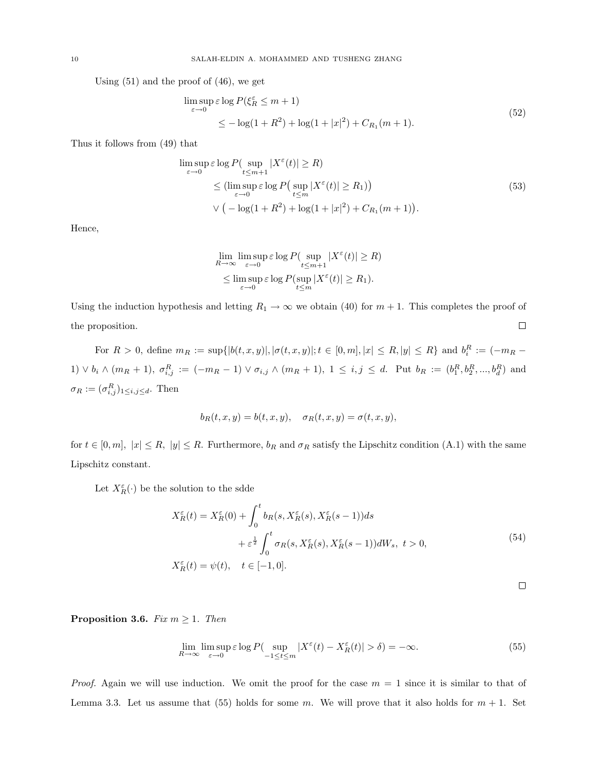Using (51) and the proof of (46), we get

$$
\limsup_{\varepsilon \to 0} \varepsilon \log P(\xi_R^{\varepsilon} \le m + 1)
$$
  
 
$$
\le -\log(1 + R^2) + \log(1 + |x|^2) + C_{R_1}(m + 1).
$$
 (52)

Thus it follows from (49) that

$$
\limsup_{\varepsilon \to 0} \varepsilon \log P\left(\sup_{t \le m+1} |X^{\varepsilon}(t)| \ge R\right)
$$
\n
$$
\le \left(\limsup_{\varepsilon \to 0} \varepsilon \log P\left(\sup_{t \le m} |X^{\varepsilon}(t)| \ge R_1\right)\right)
$$
\n
$$
\vee \left(-\log(1+R^2) + \log(1+|x|^2) + C_{R_1}(m+1)\right).
$$
\n(53)

Hence,

$$
\lim_{R \to \infty} \limsup_{\varepsilon \to 0} \varepsilon \log P(\sup_{t \le m+1} |X^{\varepsilon}(t)| \ge R)
$$
  
\n
$$
\le \limsup_{\varepsilon \to 0} \varepsilon \log P(\sup_{t \le m} |X^{\varepsilon}(t)| \ge R_1).
$$

Using the induction hypothesis and letting  $R_1 \rightarrow \infty$  we obtain (40) for  $m + 1$ . This completes the proof of  $\Box$ the proposition.

For  $R > 0$ , define  $m_R := \sup\{|b(t, x, y)|, |\sigma(t, x, y)|; t \in [0, m], |x| \le R, |y| \le R\}$  and  $b_i^R := (-m_R 1) \vee b_i \wedge (m_R + 1), \sigma_{i,j}^R := (-m_R - 1) \vee \sigma_{i,j} \wedge (m_R + 1), 1 \leq i,j \leq d.$  Put  $b_R := (b_1^R, b_2^R, ..., b_d^R)$  and  $\sigma_R := (\sigma_{i,j}^R)_{1 \leq i,j \leq d}$ . Then

$$
b_R(t, x, y) = b(t, x, y), \quad \sigma_R(t, x, y) = \sigma(t, x, y),
$$

for  $t \in [0, m]$ ,  $|x| \le R$ ,  $|y| \le R$ . Furthermore,  $b_R$  and  $\sigma_R$  satisfy the Lipschitz condition (A.1) with the same Lipschitz constant.

Let  $X_R^{\varepsilon}(\cdot)$  be the solution to the sdde

$$
X_R^{\varepsilon}(t) = X_R^{\varepsilon}(0) + \int_0^t b_R(s, X_R^{\varepsilon}(s), X_R^{\varepsilon}(s-1))ds
$$
  
+  $\varepsilon^{\frac{1}{2}} \int_0^t \sigma_R(s, X_R^{\varepsilon}(s), X_R^{\varepsilon}(s-1))dW_s, t > 0,$   
 $X_R^{\varepsilon}(t) = \psi(t), \quad t \in [-1, 0].$  (54)

$$
\qquad \qquad \Box
$$

**Proposition 3.6.** Fix  $m \geq 1$ . Then

$$
\lim_{R \to \infty} \limsup_{\varepsilon \to 0} \varepsilon \log P(\sup_{-1 \le t \le m} |X^{\varepsilon}(t) - X^{\varepsilon}_R(t)| > \delta) = -\infty. \tag{55}
$$

*Proof.* Again we will use induction. We omit the proof for the case  $m = 1$  since it is similar to that of Lemma 3.3. Let us assume that (55) holds for some m. We will prove that it also holds for  $m + 1$ . Set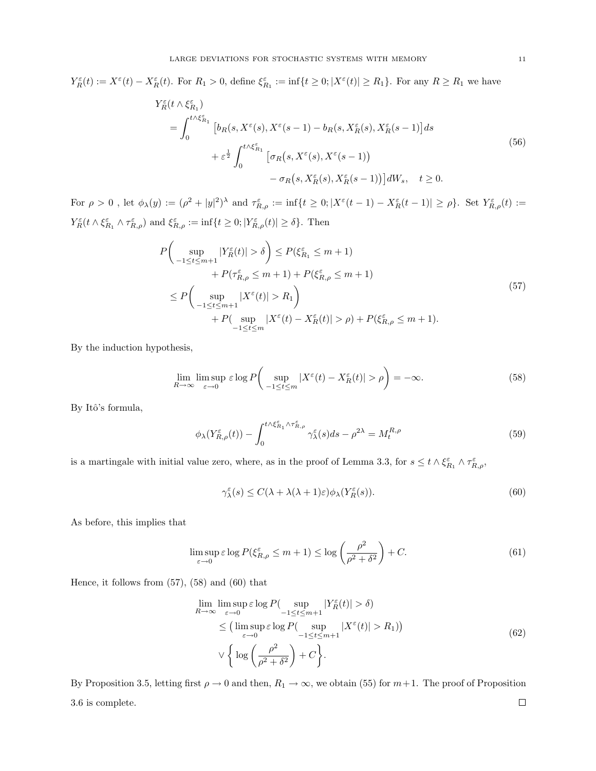$Y_R^{\varepsilon}(t) := X^{\varepsilon}(t) - X_R^{\varepsilon}(t)$ . For  $R_1 > 0$ , define  $\xi_{R_1}^{\varepsilon} := \inf\{t \geq 0; |X^{\varepsilon}(t)| \geq R_1\}$ . For any  $R \geq R_1$  we have

$$
Y_R^{\varepsilon}(t \wedge \xi_{R_1}^{\varepsilon})
$$
\n
$$
= \int_0^{t \wedge \xi_{R_1}^{\varepsilon}}
$$
\n
$$
[b_R(s, X^{\varepsilon}(s), X^{\varepsilon}(s-1) - b_R(s, X_R^{\varepsilon}(s), X_R^{\varepsilon}(s-1))]ds
$$
\n
$$
+ \varepsilon^{\frac{1}{2}} \int_0^{t \wedge \xi_{R_1}^{\varepsilon}}
$$
\n
$$
[\sigma_R(s, X^{\varepsilon}(s), X^{\varepsilon}(s-1))]
$$
\n
$$
- \sigma_R(s, X_R^{\varepsilon}(s), X_R^{\varepsilon}(s-1))]dW_s, \quad t \ge 0.
$$
\n
$$
(56)
$$

For  $\rho > 0$ , let  $\phi_{\lambda}(y) := (\rho^2 + |y|^2)^{\lambda}$  and  $\tau_{R,\rho}^{\varepsilon} := \inf\{t \geq 0; |X^{\varepsilon}(t-1) - X^{\varepsilon}_R(t-1)| \geq \rho\}$ . Set  $Y^{\varepsilon}_{R,\rho}(t) :=$  $Y_R^{\varepsilon} (t \wedge \xi_{R_1}^{\varepsilon} \wedge \tau_{R,\rho}^{\varepsilon})$  and  $\xi_{R,\rho}^{\varepsilon} := \inf \{ t \geq 0; |Y_{R,\rho}^{\varepsilon}(t)| \geq \delta \}.$  Then

$$
P\left(\sup_{-1 \leq t \leq m+1} |Y_R^{\varepsilon}(t)| > \delta\right) \leq P(\xi_{R_1}^{\varepsilon} \leq m+1) + P(\tau_{R,\rho}^{\varepsilon} \leq m+1) + P(\xi_{R,\rho}^{\varepsilon} \leq m+1) + P(\xi_{R,\rho}^{\varepsilon} \leq m+1) \leq P\left(\sup_{-1 \leq t \leq m+1} |X^{\varepsilon}(t)| > R_1\right) + P(\sup_{-1 \leq t \leq m} |X^{\varepsilon}(t) - X_R^{\varepsilon}(t)| > \rho) + P(\xi_{R,\rho}^{\varepsilon} \leq m+1).
$$
\n(57)

By the induction hypothesis,

$$
\lim_{R \to \infty} \limsup_{\varepsilon \to 0} \varepsilon \log P \bigg( \sup_{-1 \le t \le m} |X^{\varepsilon}(t) - X^{\varepsilon}_R(t)| > \rho \bigg) = -\infty. \tag{58}
$$

By Itô's formula,

$$
\phi_{\lambda}(Y_{R,\rho}^{\varepsilon}(t)) - \int_0^{t \wedge \xi_{R_1}^{\varepsilon} \wedge \tau_{R,\rho}^{\varepsilon}} \gamma_{\lambda}^{\varepsilon}(s) ds - \rho^{2\lambda} = M_t^{R,\rho}
$$
\n(59)

is a martingale with initial value zero, where, as in the proof of Lemma 3.3, for  $s \leq t \wedge \xi_{R_1}^{\varepsilon} \wedge \tau_{R,\rho}^{\varepsilon}$ ,

$$
\gamma_{\lambda}^{\varepsilon}(s) \le C(\lambda + \lambda(\lambda + 1)\varepsilon)\phi_{\lambda}(Y_R^{\varepsilon}(s)).\tag{60}
$$

As before, this implies that

$$
\limsup_{\varepsilon \to 0} \varepsilon \log P(\xi_{R,\rho}^{\varepsilon} \le m + 1) \le \log \left( \frac{\rho^2}{\rho^2 + \delta^2} \right) + C. \tag{61}
$$

Hence, it follows from (57), (58) and (60) that

$$
\lim_{R \to \infty} \lim_{\varepsilon \to 0} \sup \varepsilon \log P(\sup_{-1 \le t \le m+1} |Y_R^{\varepsilon}(t)| > \delta)
$$
\n
$$
\le (\limsup_{\varepsilon \to 0} \varepsilon \log P(\sup_{-1 \le t \le m+1} |X^{\varepsilon}(t)| > R_1))
$$
\n
$$
\vee \left\{ \log \left( \frac{\rho^2}{\rho^2 + \delta^2} \right) + C \right\}.
$$
\n(62)

By Proposition 3.5, letting first  $\rho \to 0$  and then,  $R_1 \to \infty$ , we obtain (55) for  $m+1$ . The proof of Proposition  $\Box$ 3.6 is complete.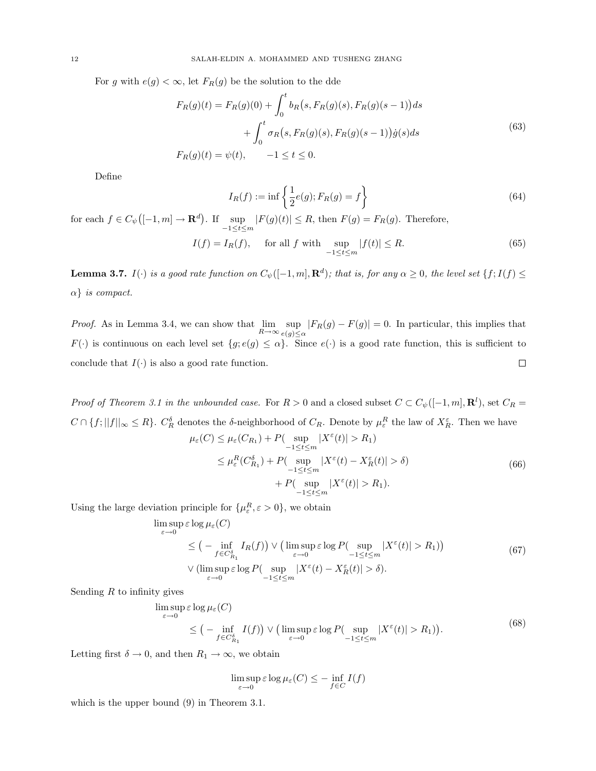For g with  $e(g) < \infty$ , let  $F_R(g)$  be the solution to the dde

$$
F_R(g)(t) = F_R(g)(0) + \int_0^t b_R(s, F_R(g)(s), F_R(g)(s-1))ds
$$
  
+ 
$$
\int_0^t \sigma_R(s, F_R(g)(s), F_R(g)(s-1))\dot{g}(s)ds
$$
  

$$
F_R(g)(t) = \psi(t), \qquad -1 \le t \le 0.
$$
 (63)

Define

$$
I_R(f) := \inf \left\{ \frac{1}{2} e(g); F_R(g) = f \right\}
$$
\n(64)

for each  $f \in C_{\psi}$  $([-1, m] \rightarrow \mathbf{R}^d)$ . If  $\sup_{-1 \le t \le m} |F(g)(t)| \le R$ , then  $F(g) = F_R(g)$ . Therefore,

$$
I(f) = I_R(f), \quad \text{ for all } f \text{ with } \sup_{-1 \le t \le m} |f(t)| \le R. \tag{65}
$$

**Lemma 3.7.**  $I(\cdot)$  is a good rate function on  $C_{\psi}([-1,m], \mathbf{R}^d)$ ; that is, for any  $\alpha \geq 0$ , the level set  $\{f; I(f) \leq \alpha\}$  $\alpha$ } is compact.

*Proof.* As in Lemma 3.4, we can show that  $\lim_{R\to\infty} \sup_{e(a)<}$  $\sup_{e(g)\leq\alpha}|F_R(g)-F(g)|=0.$  In particular, this implies that  $F(\cdot)$  is continuous on each level set  $\{g; e(g) \leq \alpha\}$ . Since  $e(\cdot)$  is a good rate function, this is sufficient to conclude that  $I(\cdot)$  is also a good rate function.  $\Box$ 

Proof of Theorem 3.1 in the unbounded case. For  $R > 0$  and a closed subset  $C \subset C_{\psi}([-1,m], \mathbf{R}^l)$ , set  $C_R =$  $C \cap \{f; ||f||_{\infty} \leq R\}$ .  $C_R^{\delta}$  denotes the  $\delta$ -neighborhood of  $C_R$ . Denote by  $\mu_{\varepsilon}^R$  the law of  $X_R^{\varepsilon}$ . Then we have

$$
\mu_{\varepsilon}(C) \leq \mu_{\varepsilon}(C_{R_1}) + P(\sup_{-1 \leq t \leq m} |X^{\varepsilon}(t)| > R_1)
$$
  
\n
$$
\leq \mu_{\varepsilon}^{R}(C_{R_1}^{\delta}) + P(\sup_{-1 \leq t \leq m} |X^{\varepsilon}(t) - X^{\varepsilon}_{R}(t)| > \delta)
$$
  
\n
$$
+ P(\sup_{-1 \leq t \leq m} |X^{\varepsilon}(t)| > R_1).
$$
\n(66)

Using the large deviation principle for  $\{\mu_{\varepsilon}^R, \varepsilon > 0\}$ , we obtain

$$
\limsup_{\varepsilon \to 0} \varepsilon \log \mu_{\varepsilon}(C)
$$
\n
$$
\leq \left( - \inf_{f \in C_{R_1}^{\delta}} I_R(f) \right) \vee \left( \limsup_{\varepsilon \to 0} \varepsilon \log P(\sup_{-1 \leq t \leq m} |X^{\varepsilon}(t)| > R_1) \right)
$$
\n
$$
\vee \left( \limsup_{\varepsilon \to 0} \varepsilon \log P(\sup_{-1 \leq t \leq m} |X^{\varepsilon}(t) - X^{\varepsilon}_R(t)| > \delta) \right).
$$
\n(67)

Sending  $R$  to infinity gives

$$
\limsup_{\varepsilon \to 0} \varepsilon \log \mu_{\varepsilon}(C)
$$
\n
$$
\leq \left( - \inf_{f \in C_{R_1}^{\delta}} I(f) \right) \vee \left( \limsup_{\varepsilon \to 0} \varepsilon \log P(\sup_{-1 \leq t \leq m} |X^{\varepsilon}(t)| > R_1) \right). \tag{68}
$$

Letting first  $\delta \to 0$ , and then  $R_1 \to \infty$ , we obtain

$$
\limsup_{\varepsilon \to 0} \varepsilon \log \mu_{\varepsilon}(C) \leq - \inf_{f \in C} I(f)
$$

which is the upper bound (9) in Theorem 3.1.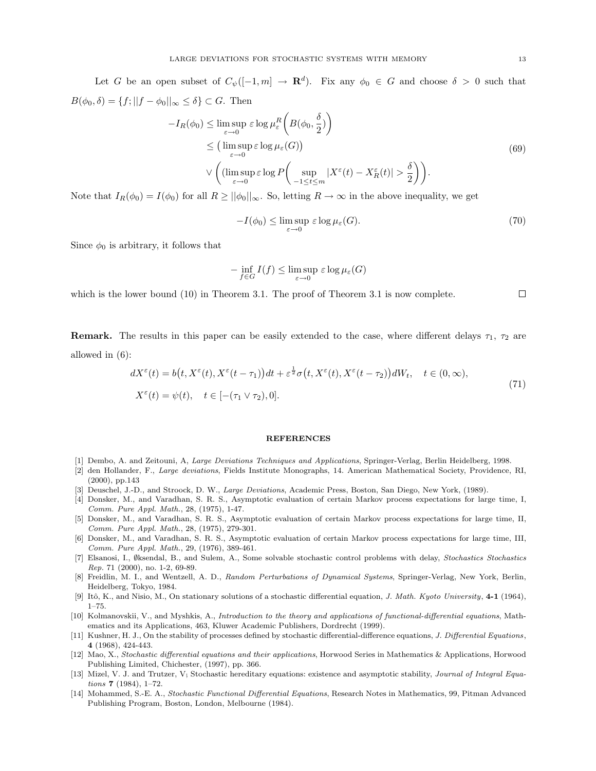Let G be an open subset of  $C_{\psi}([-1,m] \to \mathbf{R}^d)$ . Fix any  $\phi_0 \in G$  and choose  $\delta > 0$  such that  $B(\phi_0, \delta) = \{f; ||f - \phi_0||_{\infty} \leq \delta\} \subset G$ . Then  $\overline{a}$  $\mathbf{r}$ 

$$
-I_R(\phi_0) \leq \limsup_{\varepsilon \to 0} \varepsilon \log \mu_{\varepsilon}^R \left( B(\phi_0, \frac{\delta}{2}) \right)
$$
  
\n
$$
\leq \left( \limsup_{\varepsilon \to 0} \varepsilon \log \mu_{\varepsilon}(G) \right)
$$
  
\n
$$
\vee \left( \left( \limsup_{\varepsilon \to 0} \varepsilon \log P \left( \sup_{-1 \leq t \leq m} |X^{\varepsilon}(t) - X_R^{\varepsilon}(t)| > \frac{\delta}{2} \right) \right).
$$
\n(69)

Note that  $I_R(\phi_0) = I(\phi_0)$  for all  $R \ge ||\phi_0||_{\infty}$ . So, letting  $R \to \infty$  in the above inequality, we get

$$
-I(\phi_0) \le \limsup_{\varepsilon \to 0} \varepsilon \log \mu_{\varepsilon}(G). \tag{70}
$$

Since  $\phi_0$  is arbitrary, it follows that

$$
-\inf_{f\in G} I(f) \le \limsup_{\varepsilon \to 0} \varepsilon \log \mu_{\varepsilon}(G)
$$

which is the lower bound (10) in Theorem 3.1. The proof of Theorem 3.1 is now complete.

**Remark.** The results in this paper can be easily extended to the case, where different delays  $\tau_1$ ,  $\tau_2$  are allowed in (6):

$$
dX^{\varepsilon}(t) = b(t, X^{\varepsilon}(t), X^{\varepsilon}(t-\tau_1))dt + \varepsilon^{\frac{1}{2}}\sigma(t, X^{\varepsilon}(t), X^{\varepsilon}(t-\tau_2))dW_t, \quad t \in (0, \infty),
$$
  
\n
$$
X^{\varepsilon}(t) = \psi(t), \quad t \in [-(\tau_1 \vee \tau_2), 0].
$$
\n(71)

#### **REFERENCES**

- [1] Dembo, A. and Zeitouni, A, Large Deviations Techniques and Applications, Springer-Verlag, Berlin Heidelberg, 1998.
- [2] den Hollander, F., Large deviations, Fields Institute Monographs, 14. American Mathematical Society, Providence, RI, (2000), pp.143
- [3] Deuschel, J.-D., and Stroock, D. W., Large Deviations, Academic Press, Boston, San Diego, New York, (1989).
- [4] Donsker, M., and Varadhan, S. R. S., Asymptotic evaluation of certain Markov process expectations for large time, I, Comm. Pure Appl. Math., 28, (1975), 1-47.
- [5] Donsker, M., and Varadhan, S. R. S., Asymptotic evaluation of certain Markov process expectations for large time, II, Comm. Pure Appl. Math., 28, (1975), 279-301.
- [6] Donsker, M., and Varadhan, S. R. S., Asymptotic evaluation of certain Markov process expectations for large time, III, Comm. Pure Appl. Math., 29, (1976), 389-461.
- [7] Elsanosi, I., ∅ksendal, B., and Sulem, A., Some solvable stochastic control problems with delay, Stochastics Stochastics Rep. 71 (2000), no. 1-2, 69-89.
- [8] Freidlin, M. I., and Wentzell, A. D., Random Perturbations of Dynamical Systems, Springer-Verlag, New York, Berlin, Heidelberg, Tokyo, 1984.
- [9] Itô, K., and Nisio, M., On stationary solutions of a stochastic differential equation, J. Math. Kyoto University, 4-1 (1964), 1–75.
- [10] Kolmanovskii, V., and Myshkis, A., Introduction to the theory and applications of functional-differential equations, Mathematics and its Applications, 463, Kluwer Academic Publishers, Dordrecht (1999).
- [11] Kushner, H. J., On the stability of processes defined by stochastic differential-difference equations, J. Differential Equations, 4 (1968), 424-443.
- [12] Mao, X., Stochastic differential equations and their applications, Horwood Series in Mathematics & Applications, Horwood Publishing Limited, Chichester, (1997), pp. 366.
- [13] Mizel, V. J. and Trutzer, V; Stochastic hereditary equations: existence and asymptotic stability, Journal of Integral Equations 7 (1984), 1–72.
- [14] Mohammed, S.-E. A., Stochastic Functional Differential Equations, Research Notes in Mathematics, 99, Pitman Advanced Publishing Program, Boston, London, Melbourne (1984).

 $\Box$